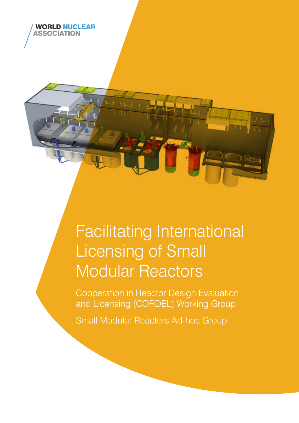

## Facilitating International Licensing of Small Modular Reactors

Cooperation in Reactor Design Evaluation and Licensing (CORDEL) Working Group

Small Modular Reactors Ad-hoc Group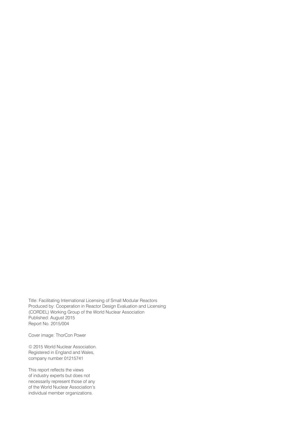Title: Facilitating International Licensing of Small Modular Reactors Produced by: Cooperation in Reactor Design Evaluation and Licensing (CORDEL) Working Group of the World Nuclear Association Published: August 2015 Report No. 2015/004

Cover image: ThorCon Power

© 2015 World Nuclear Association. Registered in England and Wales, company number 01215741

This report reflects the views of industry experts but does not necessarily represent those of any of the World Nuclear Association's individual member organizations.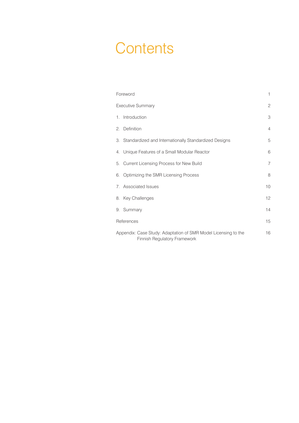## **Contents**

| Foreword                                                                                       |                                                          | $\mathbf{1}$   |
|------------------------------------------------------------------------------------------------|----------------------------------------------------------|----------------|
| <b>Executive Summary</b>                                                                       |                                                          | $\mathbf{2}$   |
|                                                                                                | 1. Introduction                                          | 3              |
|                                                                                                | 2. Definition                                            | $\overline{4}$ |
|                                                                                                | 3. Standardized and Internationally Standardized Designs | 5              |
|                                                                                                | 4. Unique Features of a Small Modular Reactor            | 6              |
|                                                                                                | 5. Current Licensing Process for New Build               | $\overline{7}$ |
|                                                                                                | 6. Optimizing the SMR Licensing Process                  | 8              |
|                                                                                                | 7. Associated Issues                                     | 10             |
|                                                                                                | 8. Key Challenges                                        | 12             |
|                                                                                                | 9. Summary                                               | 14             |
| References                                                                                     |                                                          | 15             |
| Appendix: Case Study: Adaptation of SMR Model Licensing to the<br>Finnish Regulatory Framework |                                                          | 16             |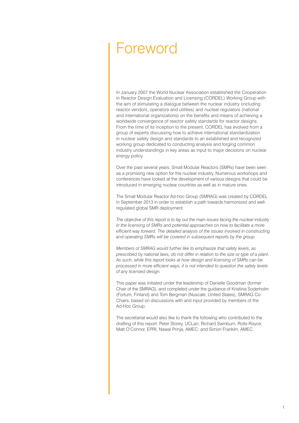### Foreword

In January 2007 the World Nuclear Association established the Cooperation in Reactor Design Evaluation and Licensing (CORDEL) Working Group with the aim of stimulating a dialogue between the nuclear industry (including reactor vendors, operators and utilities) and nuclear regulators (national and international organizations) on the benefits and means of achieving a worldwide convergence of reactor safety standards for reactor designs. From the time of its inception to the present, CORDEL has evolved from a group of experts discussing how to achieve international standardization in nuclear safety design and standards to an established and recognized working group dedicated to conducting analysis and forging common industry understandings in key areas as input to major decisions on nuclear energy policy.

Over the past several years, Small Modular Reactors (SMRs) have been seen as a promising new option for the nuclear industry. Numerous workshops and conferences have looked at the development of various designs that could be introduced in emerging nuclear countries as well as in mature ones.

The Small Modular Reactor Ad-hoc Group (SMRAG) was created by CORDEL in September 2013 in order to establish a path towards harmonized and wellregulated global SMR deployment.

*The objective of this report is to lay out the main issues facing the nuclear industry in the licensing of SMRs and potential approaches on how to facilitate a more efficient way forward. The detailed analysis of the issues involved in constructing and operating SMRs will be covered in subsequent reports by the group.*

*Members of SMRAG would further like to emphasize that safety levels, as prescribed by national laws, do not differ in relation to the size or type of a plant. As such, while this report looks at how design and licensing of SMRs can be processed in more efficient ways, it is not intended to question the safety levels of any licensed design.*

This paper was initiated under the leadership of Danielle Goodman (former Chair of the SMRAG), and completed under the guidance of Kristiina Soderholm (Fortum, Finland) and Tom Bergman (Nuscale, United States), SMRAG Co-Chairs, based on discussions with and input provided by members of the Ad-Hoc Group.

The secretariat would also like to thank the following who contributed to the drafting of this report: Peter Storey, UCLan; Richard Swinburn, Rolls-Royce; Matt O'Connor, EPRI; Nawal Prinja, AMEC; and Simon Franklin, AMEC.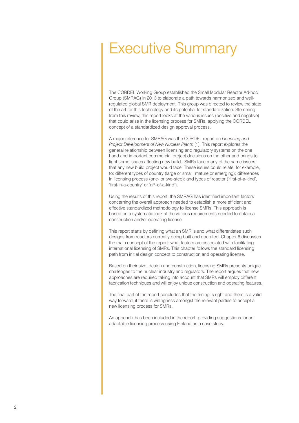## Executive Summary

The CORDEL Working Group established the Small Modular Reactor Ad-hoc Group (SMRAG) in 2013 to elaborate a path towards harmonized and wellregulated global SMR deployment. This group was directed to review the state of the art for this technology and its potential for standardization. Stemming from this review, this report looks at the various issues (positive and negative) that could arise in the licensing process for SMRs, applying the CORDEL concept of a standardized design approval process.

A major reference for SMRAG was the CORDEL report on *Licensing and Project Development of New Nuclear Plants* [1]. This report explores the general relationship between licensing and regulatory systems on the one hand and important commercial project decisions on the other and brings to light some issues affecting new build. SMRs face many of the same issues that any new build project would face. These issues could relate, for example, to: different types of country (large or small, mature or emerging); differences in licensing process (one- or two-step); and types of reactor ('first-of-a-kind', 'first-in-a-country' or 'nth–of-a-kind').

Using the results of this report, the SMRAG has identified important factors concerning the overall approach needed to establish a more efficient and effective standardized methodology to license SMRs. This approach is based on a systematic look at the various requirements needed to obtain a construction and/or operating license.

This report starts by defining what an SMR is and what differentiates such designs from reactors currently being built and operated. Chapter 6 discusses the main concept of the report: what factors are associated with facilitating international licensing of SMRs. This chapter follows the standard licensing path from initial design concept to construction and operating license.

Based on their size, design and construction, licensing SMRs presents unique challenges to the nuclear industry and regulators. The report argues that new approaches are required taking into account that SMRs will employ different fabrication techniques and will enjoy unique construction and operating features.

The final part of the report concludes that the timing is right and there is a valid way forward, if there is willingness amongst the relevant parties to accept a new licensing process for SMRs.

An appendix has been included in the report, providing suggestions for an adaptable licensing process using Finland as a case study.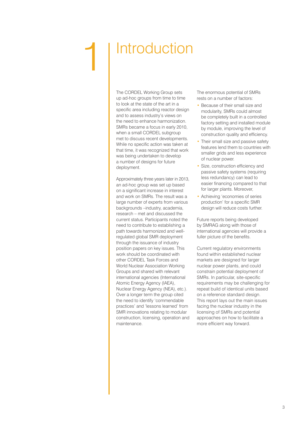## **Introduction**

The CORDEL Working Group sets up ad-hoc groups from time to time to look at the state of the art in a specific area including reactor design and to assess industry's views on the need to enhance harmonization. SMRs became a focus in early 2010, when a small CORDEL subgroup met to discuss recent developments. While no specific action was taken at that time, it was recognized that work was being undertaken to develop a number of designs for future deployment.

Approximately three years later in 2013, an ad-hoc group was set up based on a significant increase in interest and work on SMRs. The result was a large number of experts from various backgrounds –industry, academia, research – met and discussed the current status. Participants noted the need to contribute to establishing a path towards harmonized and wellregulated global SMR deployment through the issuance of industry position papers on key issues. This work should be coordinated with other CORDEL Task Forces and World Nuclear Association Working Groups and shared with relevant international agencies (International Atomic Energy Agency (IAEA), Nuclear Energy Agency (NEA), etc.). Over a longer term the group cited the need to identify 'commendable practices' and 'lessons learned' from SMR innovations relating to modular construction, licensing, operation and maintenance.

The enormous potential of SMRs rests on a number of factors:

- Because of their small size and modularity, SMRs could almost be completely built in a controlled factory setting and installed module by module, improving the level of construction quality and efficiency.
- Their small size and passive safety features lend them to countries with smaller grids and less experience of nuclear power.
- Size, construction efficiency and passive safety systems (requiring less redundancy) can lead to easier financing compared to that for larger plants. Moreover,
- Achieving 'economies of series production' for a specific SMR design will reduce costs further.

Future reports being developed by SMRAG along with those of international agencies will provide a fuller picture of the benefits.

Current regulatory environments found within established nuclear markets are designed for larger nuclear power plants, and could constrain potential deployment of SMRs. In particular, site-specific requirements may be challenging for repeat build of identical units based on a reference standard design. This report lays out the main issues facing the nuclear industry in the licensing of SMRs and potential approaches on how to facilitate a more efficient way forward.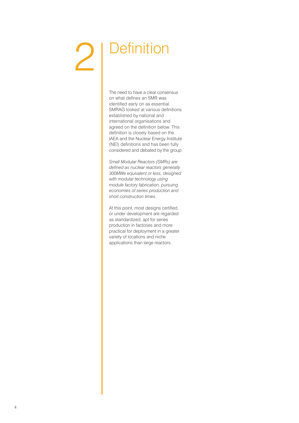## **2** | Definition

The need to have a clear consensus on what defines an SMR was identified early on as essential. SMRAG looked at various definitions established by national and international organisations and agreed on the definition below. This definition is closely based on the IAEA and the Nuclear Energy Institute (NEI) definitions and has been fully considered and debated by the group.

*Small Modular Reactors (SMRs) are defined as nuclear reactors generally 300MWe equivalent or less, designed with modular technology using module factory fabrication, pursuing economies of series production and short construction times.*

At this point, most designs certified or under development are regarded as standardized, apt for series production in factories and more practical for deployment in a greater variety of locations and niche applications than large reactors.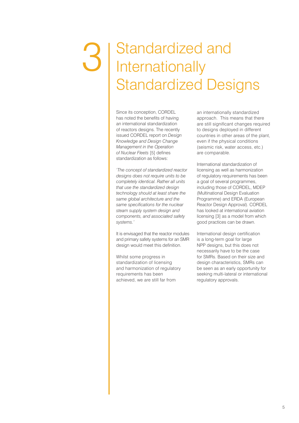### Standardized and **Internationally** Standardized Designs 3

Since its conception, CORDEL has noted the benefits of having an international standardization of reactors designs. The recently issued CORDEL report on *Design Knowledge and Design Change Management in the Operation of Nuclear Fleets* [5] defines standardization as follows:

*'The concept of standardized reactor designs does not require units to be completely identical. Rather all units that use the standardized design technology should at least share the same global architecture and the same specifications for the nuclear steam supply system design and components, and associated safety systems.'*

It is envisaged that the reactor modules and primary safety systems for an SMR design would meet this definition.

Whilst some progress in standardization of licensing and harmonization of regulatory requirements has been achieved, we are still far from

an internationally standardized approach. This means that there are still significant changes required to designs deployed in different countries in other areas of the plant, even if the physical conditions (seismic risk, water access, etc.) are comparable.

International standardization of licensing as well as harmonization of regulatory requirements has been a goal of several programmes, including those of CORDEL, MDEP (Multinational Design Evaluation Programme) and ERDA (European Reactor Design Approval). CORDEL has looked at international aviation licensing [3] as a model from which good practices can be drawn.

International design certification is a long-term goal for large NPP designs, but this does not necessarily have to be the case for SMRs. Based on their size and design characteristics, SMRs can be seen as an early opportunity for seeking multi-lateral or international regulatory approvals.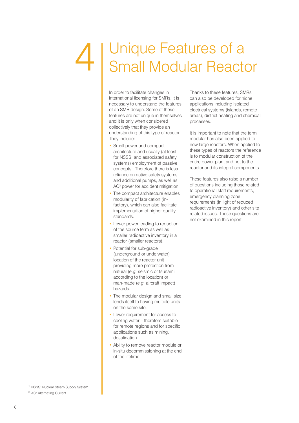### Unique Features of a Small Modular Reactor 4

In order to facilitate changes in international licensing for SMRs, it is necessary to understand the features of an SMR design. Some of these features are not unique in themselves and it is only when considered collectively that they provide an understanding of this type of reactor. They include:

- Small power and compact architecture and usually (at least for NSSS<sup>1</sup> and associated safety systems) employment of passive concepts. Therefore there is less reliance on active safety systems and additional pumps, as well as AC<sup>2</sup> power for accident mitigation.
- The compact architecture enables modularity of fabrication (infactory), which can also facilitate implementation of higher quality standards.
- Lower power leading to reduction of the source term as well as smaller radioactive inventory in a reactor (smaller reactors).
- Potential for sub-grade (underground or underwater) location of the reactor unit providing more protection from natural (*e.g.* seismic or tsunami according to the location) or man-made (*e.g.* aircraft impact) hazards.
- The modular design and small size lends itself to having multiple units on the same site.
- Lower requirement for access to cooling water – therefore suitable for remote regions and for specific applications such as mining, desalination.
- Ability to remove reactor module or in-situ decommissioning at the end of the lifetime.

Thanks to these features, SMRs can also be developed for niche applications including isolated electrical systems (islands, remote areas), district heating and chemical processes.

It is important to note that the term modular has also been applied to new large reactors. When applied to these types of reactors the reference is to modular construction of the entire power plant and not to the reactor and its integral components

These features also raise a number of questions including those related to operational staff requirements, emergency planning zone requirements (in light of reduced radioactive inventory) and other site related issues. These questions are not examined in this report.

- <sup>1</sup> NSSS: Nuclear Steam Supply System
- <sup>2</sup> AC: Alternating Current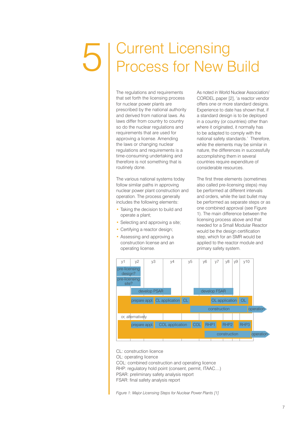## T | Current Licensing Process for New Build

The regulations and requirements that set forth the licensing process for nuclear power plants are prescribed by the national authority and derived from national laws. As laws differ from country to country so do the nuclear regulations and requirements that are used for approving a license. Amending the laws or changing nuclear regulations and requirements is a time-consuming undertaking and therefore is not something that is routinely done.

The various national systems today follow similar paths in approving nuclear power plant construction and operation. The process generally includes the following elements:

- Taking the decision to build and operate a plant;
- Selecting and approving a site;
- Certifying a reactor design;
- Assessing and approving a construction license and an operating license.

As noted in World Nuclear Association/ CORDEL paper [2], 'a reactor vendor offers one or more standard designs. Experience to date has shown that, if a standard design is to be deployed in a country (or countries) other than where it originated, it normally has to be adapted to comply with the national safety standards.' Therefore, while the elements may be similar in nature, the differences in successfully accomplishing them in several countries require expenditure of considerable resources.

The first three elements (sometimes also called pre-licensing steps) may be performed at different intervals and orders, while the last bullet may be performed as separate steps or as one combined approval (see Figure 1). The main difference between the licensing process above and that needed for a Small Modular Reactor would be the design certification step, which for an SMR would be applied to the reactor module and primary safety system.



CL: construction licence

OL: operating licence

COL: combined construction and operating licence

RHP: regulatory hold point (consent, permit, ITAAC....)

PSAR: preliminary safety analysis report

FSAR: final safety analysis report

*Figure 1: Major Licensing Steps for Nuclear Power Plants [1]*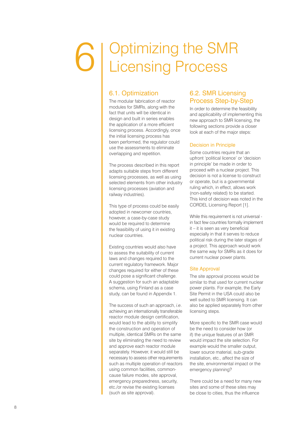# Optimizing the SMR 6 Licensing Process

#### 6.1. Optimization

The modular fabrication of reactor modules for SMRs, along with the fact that units will be identical in design and built in series enables the application of a more efficient licensing process. Accordingly, once the initial licensing process has been performed, the regulator could use the assessments to eliminate overlapping and repetition.

The process described in this report adapts suitable steps from different licensing processes, as well as using selected elements from other industry licensing processes (aviation and railway industries).

This type of process could be easily adopted in newcomer countries, however, a case-by-case study would be required to determine the feasibility of using it in existing nuclear countries.

Existing countries would also have to assess the suitability of current laws and changes required to the current regulatory framework. Major changes required for either of these could pose a significant challenge. A suggestion for such an adaptable schema, using Finland as a case study, can be found in Appendix 1.

The success of such an approach, *i.e*. achieving an internationally transferable reactor module design certification, would lead to the ability to simplify the construction and operation of multiple, identical SMRs on the same site by eliminating the need to review and approve each reactor module separately. However, it would still be necessary to assess other requirements such as multiple operation of reactors using common facilities, commoncause failure modes, site approval, emergency preparedness, security, etc./or revise the existing licenses (such as site approval).

#### 6.2. SMR Licensing Process Step-by-Step

In order to determine the feasibility and applicability of implementing this new approach to SMR licensing, the following sections provide a closer look at each of the major steps:

#### Decision in Principle

Some countries require that an upfront 'political licence' or 'decision in principle' be made in order to proceed with a nuclear project. This decision is not a license to construct or operate, but is a governmental ruling which, in effect, allows work (non-safety related) to be started. This kind of decision was noted in the CORDEL Licensing Report [1].

While this requirement is not universal in fact few countries formally implement it – it is seen as very beneficial especially in that it serves to reduce political risk during the later stages of a project. This approach would work the same way for SMRs as it does for current nuclear power plants.

#### Site Approval

The site approval process would be similar to that used for current nuclear power plants. For example, the Early Site Permit in the USA could also be well suited to SMR licensing. It can also be applied separately from other licensing steps.

More specific to the SMR case would be the need to consider how (or if) the unique features of an SMR would impact the site selection. For example would the smaller output, lower source material, sub-grade installation, etc., affect the size of the site, environmental impact or the emergency planning?

There could be a need for many new sites and some of these sites may be close to cities, thus the influence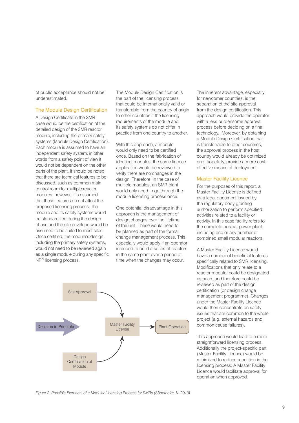of public acceptance should not be underestimated.

#### The Module Design Certification

A Design Certificate in the SMR case would be the certification of the detailed design of the SMR reactor module, including the primary safety systems (Module Design Certification). Each module is assumed to have an independent safety system, in other words from a safety point of view it would not be dependent on the other parts of the plant. It should be noted that there are technical features to be discussed, such as common main control room for multiple reactor modules; however, it is assumed that these features do not affect the proposed licensing process. The module and its safety systems would be standardized during the design phase and the site envelope would be assumed to be suited to most sites. Once certified, the module's design, including the primary safety systems, would not need to be reviewed again as a single module during any specific NPP licensing process.

The Module Design Certification is the part of the licensing process that could be internationally valid or transferable from the country of origin to other countries if the licensing requirements of the module and its safety systems do not differ in practice from one country to another.

With this approach, a module would only need to be certified once. Based on the fabrication of identical modules, the same licence application would be reviewed to verify there are no changes in the design. Therefore, in the case of multiple modules, an SMR plant would only need to go through the module licensing process once.

One potential disadvantage in this approach is the management of design changes over the lifetime of the unit. These would need to be planned as part of the formal change management process. This especially would apply if an operator intended to build a series of reactors in the same plant over a period of time when the changes may occur.

The inherent advantage, especially for newcomer countries, is the separation of the site approval from the design certification. This approach would provide the operator with a less burdensome approval process before deciding on a final technology. Moreover, by obtaining a Module Design Certification that is transferrable to other countries, the approval process in the host country would already be optimized and, hopefully, provide a more costeffective means of deployment.

#### Master Facility Licence

For the purposes of this report, a Master Facility License is defined as a legal document issued by the regulatory body granting authorization to perform specified activities related to a facility or activity. In this case facility refers to the complete nuclear power plant including one or any number of combined small modular reactors.

A Master Facility Licence would have a number of beneficial features specifically related to SMR licensing. Modifications that only relate to a reactor module, could be designated as such, and therefore could be reviewed as part of the design certification (or design change management programme). Changes under the Master Facility Licence would then concentrate on safety issues that are common to the whole project (*e.g*. external hazards and common cause failures).

This approach would lead to a more straightforward licensing process. Additionally the project-specific part (Master Facility Licence) would be minimized to reduce repetition in the licensing process. A Master Facility Licence would facilitate approval for operation when approved.



*Figure 2: Possible Elements of a Modular Licensing Process for SMRs (Söderholm, K. 2013)*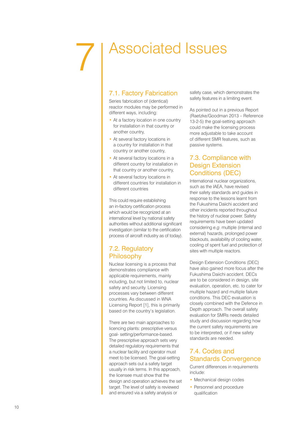# 7

## Associated Issues

#### 7.1. Factory Fabrication

Series fabrication of (identical) reactor modules may be performed in different ways, including:

- At a factory location in one country for installation in that country or another country,
- At several factory locations in a country for installation in that country or another country,
- At several factory locations in a different country for installation in that country or another country,
- At several factory locations in different countries for installation in different countries

This could require establishing an in-factory certification process which would be recognized at an international level by national safety authorities without additional significant investigation (similar to the certification process of aircraft industry as of today).

#### 7.2. Regulatory Philosophy

Nuclear licensing is a process that demonstrates compliance with applicable requirements, mainly including, but not limited to, nuclear safety and security. Licensing processes vary between different countries. As discussed in WNA Licensing Report [1], this is primarily based on the country's legislation.

There are two main approaches to licencing plants: prescriptive versus goal- setting/performance-based. The prescriptive approach sets very detailed regulatory requirements that a nuclear facility and operator must meet to be licensed. The goal-setting approach sets out a safety target usually in risk terms. In this approach, the licensee must show that the design and operation achieves the set target. The level of safety is reviewed and ensured via a safety analysis or

safety case, which demonstrates the safety features in a limiting event.

As pointed out in a previous Report (Raetzke/Goodman 2013 – Reference 13-2-5) the goal-setting approach could make the licensing process more adjustable to take account of different SMR features, such as passive systems.

#### 7.3. Compliance with Design Extension Conditions (DEC)

International nuclear organizations, such as the IAEA, have revised their safety standards and guides in response to the lessons learnt from the Fukushima Daiichi accident and other incidents reported throughout the history of nuclear power. Safety requirements have been updated considering *e.g*. multiple (internal and external) hazards, prolonged power blackouts, availability of cooling water, cooling of spent fuel and protection of sites with multiple reactors.

Design Extension Conditions (DEC) have also gained more focus after the Fukushima Daiichi accident. DECs are to be considered in design, site evaluation, operation, etc. to cater for multiple hazard and multiple failure conditions. This DEC evaluation is closely combined with the Defence in Depth approach. The overall safety evaluation for SMRs needs detailed study and discussion regarding how the current safety requirements are to be interpreted, or if new safety standards are needed.

#### 7.4. Codes and Standards Convergence

Current differences in requirements include:

- Mechanical design codes
- Personnel and procedure qualification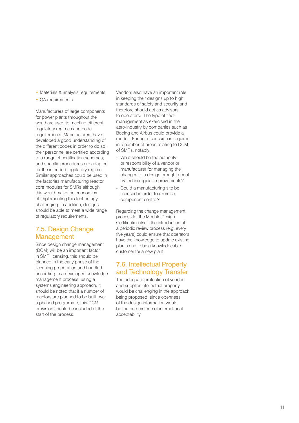- Materials & analysis requirements
- QA requirements

Manufacturers of large components for power plants throughout the world are used to meeting different regulatory regimes and code requirements. Manufacturers have developed a good understanding of the different codes in order to do so; their personnel are certified according to a range of certification schemes; and specific procedures are adapted for the intended regulatory regime. Similar approaches could be used in the factories manufacturing reactor core modules for SMRs although this would make the economics of implementing this technology challenging. In addition, designs should be able to meet a wide range of regulatory requirements.

#### 7.5. Design Change Management

Since design change management (DCM) will be an important factor in SMR licensing, this should be planned in the early phase of the licensing preparation and handled according to a developed knowledge management process, using a systems engineering approach. It should be noted that if a number of reactors are planned to be built over a phased programme, this DCM provision should be included at the start of the process.

Vendors also have an important role in keeping their designs up to high standards of safety and security and therefore should act as advisors to operators. The type of fleet management as exercised in the aero-industry by companies such as Boeing and Airbus could provide a model. Further discussion is required in a number of areas relating to DCM

- of SMRs, notably:<br>- What should be the authority or responsibility of a vendor or manufacturer for managing the changes to a design brought about by technological improvements?
- Could a manufacturing site be licensed in order to exercise component control?

Regarding the change management process for the Module Design Certification itself, the introduction of a periodic review process (*e.g*. every five years) could ensure that operators have the knowledge to update existing plants and to be a knowledgeable customer for a new plant.

#### 7.6. Intellectual Property and Technology Transfer

The adequate protection of vendor and supplier intellectual property would be challenging in the approach being proposed, since openness of the design information would be the cornerstone of international acceptability.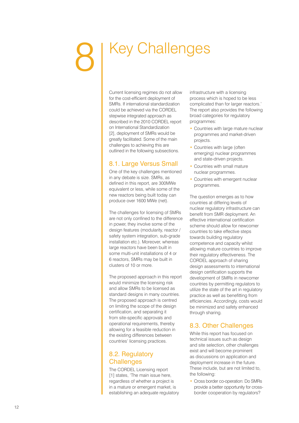## Key Challenges

Current licensing regimes do not allow for the cost-efficient deployment of SMRs. If international standardization could be achieved via the CORDEL stepwise integrated approach as described in the 2010 CORDEL report on International Standardization [2], deployment of SMRs would be greatly facilitated. Some of the main challenges to achieving this are outlined in the following subsections.

#### 8.1. Large Versus Small

One of the key challenges mentioned in any debate is size. SMRs, as defined in this report, are 300MWe equivalent or less, while some of the new reactors being built today can produce over 1600 MWe (net).

The challenges for licensing of SMRs are not only confined to the difference in power, they involve some of the design features (modularity, reactor / safety system integration, sub-grade installation etc.). Moreover, whereas large reactors have been built in some multi-unit installations of 4 or 6 reactors, SMRs may be built in clusters of 10 or more.

The proposed approach in this report would minimize the licensing risk and allow SMRs to be licensed as standard designs in many countries. The proposed approach is centred on limiting the scope of the design certification, and separating it from site-specific approvals and operational requirements, thereby allowing for a feasible reduction in the existing differences between countries' licensing practices.

#### 8.2. Regulatory **Challenges**

The CORDEL Licensing report [1] states, 'The main issue here, regardless of whether a project is in a mature or emergent market, is establishing an adequate regulatory infrastructure with a licensing process which is hoped to be less complicated than for larger reactors.' The report also provides the following broad categories for regulatory programmes:

- Countries with large mature nuclear programmes and market-driven projects.
- Countries with large (often emerging) nuclear programmes and state-driven projects.
- Countries with small mature nuclear programmes.
- Countries with emergent nuclear programmes.

The question emerges as to how countries at differing levels of nuclear regulatory infrastructure can benefit from SMR deployment. An effective international certification scheme should allow for newcomer countries to take effective steps towards building regulatory competence and capacity whilst allowing mature countries to improve their regulatory effectiveness. The CORDEL approach of sharing design assessments to international design certification supports the development of SMRs in newcomer countries by permitting regulators to utilize the state of the art in regulatory practice as well as benefitting from efficiencies. Accordingly, costs would be minimized and safety enhanced through sharing.

#### 8.3. Other Challenges

While this report has focused on technical issues such as design and site selection, other challenges exist and will become prominent as discussions on application and deployment increase in the future. These include, but are not limited to, the following:

• Cross border co-operation: Do SMRs provide a better opportunity for crossborder cooperation by regulators?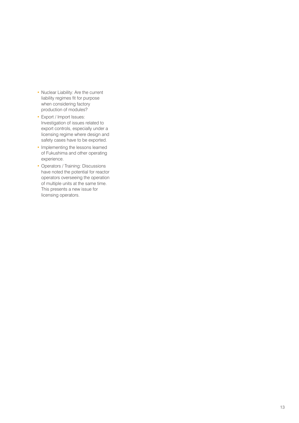- Nuclear Liability: Are the current liability regimes fit for purpose when considering factory production of modules?
- Export / Import Issues: Investigation of issues related to export controls, especially under a licensing regime where design and safety cases have to be exported.
- Implementing the lessons learned of Fukushima and other operating experience.
- Operators / Training: Discussions have noted the potential for reactor operators overseeing the operation of multiple units at the same time. This presents a new issue for licensing operators.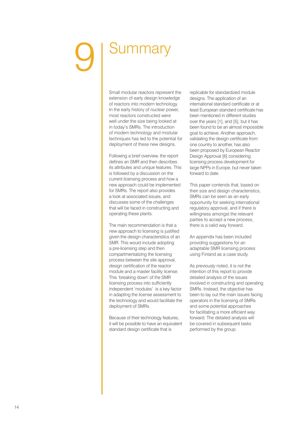## Summary

Small modular reactors represent the extension of early design knowledge of reactors into modern technology. In the early history of nuclear power, most reactors constructed were well under the size being looked at in today's SMRs. The introduction of modern technology and modular techniques has led to the potential for deployment of these new designs.

Following a brief overview, the report defines an SMR and then describes its attributes and unique features. This is followed by a discussion on the current licensing process and how a new approach could be implemented for SMRs. The report also provides a look at associated issues, and discusses some of the challenges that will be faced in constructing and operating these plants.

The main recommendation is that a new approach to licensing is justified given the design characteristics of an SMR. This would include adopting a pre-licensing step and then compartmentalizing the licensing process between the site approval, design certification of the reactor module and a master facility license. This 'breaking down' of the SMR licensing process into sufficiently independent 'modules' is a key factor in adapting the license assessment to the technology and would facilitate the deployment of SMRs.

Because of their technology features, it will be possible to have an equivalent standard design certificate that is

replicable for standardized module designs. The application of an international standard certificate or at least European standard certificate has been mentioned in different studies over the years [1], and [5], but it has been found to be an almost impossible goal to achieve. Another approach, validating the design certificate from one country to another, has also been proposed by European Reactor Design Approval [6] considering licensing process development for large NPPs in Europe, but never taken forward to date.

This paper contends that, based on their size and design characteristics, SMRs can be seen as an early opportunity for seeking international regulatory approval, and if there is willingness amongst the relevant parties to accept a new process, there is a valid way forward.

An appendix has been included providing suggestions for an adaptable SMR licensing process using Finland as a case study.

As previously noted, it is not the intention of this report to provide detailed analysis of the issues involved in constructing and operating SMRs. Instead, the objective has been to lay out the main issues facing operators in the licensing of SMRs and some potential approaches for facilitating a more efficient way forward. The detailed analysis will be covered in subsequent tasks performed by the group.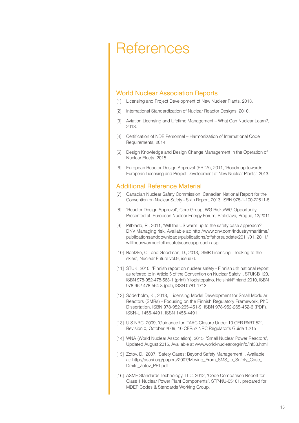### **References**

#### World Nuclear Association Reports

- [1] Licensing and Project Development of New Nuclear Plants, 2013.
- [2] International Standardization of Nuclear Reactor Designs, 2010.
- [3] Aviation Licensing and Lifetime Management What Can Nuclear Learn?, 2013.
- [4] Certification of NDE Personnel Harmonization of International Code Requirements, 2014
- [5] Design Knowledge and Design Change Management in the Operation of Nuclear Fleets, 2015.
- [6] European Reactor Design Approval (ERDA), 2011, 'Roadmap towards European Licensing and Project Development of New Nuclear Plants', 2013.

#### Additional Reference Material

- [7] Canadian Nuclear Safety Commission, Canadian National Report for the Convention on Nuclear Safety - Sixth Report, 2013, ISBN 978-1-100-22611-8
- [8] 'Reactor Design Approval', Core Group, WG Risks/WG Opportunity, Presented at: European Nuclear Energy Forum, Bratislava, Prague, 12/2011
- [9] Pitblado, R., 2011, 'Will the US warm up to the safety case approach?', DNV Managing risk, Available at: http://www.dnv.com/industry/maritime/ publicationsanddownloads/publications/offshoreupdate/2011/01\_2011/ willtheuswarmuptothesafetycaseapproach.asp
- [10] Raetzke, C., and Goodman, D., 2013, 'SMR Licensing looking to the skies', Nuclear Future vol.9, issue 6.
- [11] STUK, 2010, 'Finnish report on nuclear safety Finnish 5th national report as referred to in Article 5 of the Convention on Nuclear Safety' , STUK-B 120, ISBN 978-952-478-563-1 (print) Yliopistopaino, Helsinki/Finland 2010, ISBN 978-952-478-564-8 (pdf), ISSN 0781-1713
- [12] Söderholm, K., 2013, 'Licensing Model Development for Small Modular Reactors (SMRs) - Focusing on the Finnish Regulatory Framework, PhD Dissertation, ISBN 978-952-265-451-9, ISBN 978-952-265-452-6 (PDF), ISSN-L 1456-4491, ISSN 1456-4491
- [13] U.S.NRC, 2009, 'Guidance for ITAAC Closure Under 10 CFR PART 52', Revision 0, October 2009, 10 CFR52 NRC Regulator's Guide 1.215
- [14] WNA (World Nuclear Association), 2015, 'Small Nuclear Power Reactors', Updated August 2015, Available at www.world-nuclear.org/info/inf33.html
- [15] Zotov, D., 2007, 'Safety Cases: Beyond Safety Management' , Available at: http://asasi.org/papers/2007/Moving\_From\_SMS\_to\_Safety\_Case\_ Dmitri\_Zotov\_PPT.pdf
- [16] ASME Standards Technology, LLC, 2012, 'Code Comparison Report for Class 1 Nuclear Power Plant Components', STP-NU-05101, prepared for MDEP Codes & Standards Working Group.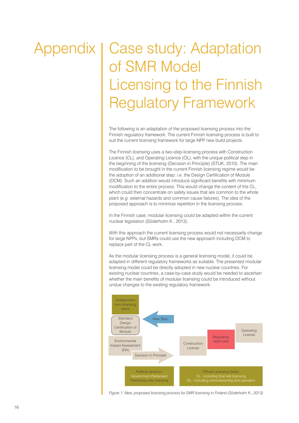## Appendix | Case study: Adaptation of SMR Model Licensing to the Finnish Regulatory Framework

The following is an adaptation of the proposed licensing process into the Finnish regulatory framework. The current Finnish licensing process is built to suit the current licensing framework for large NPP new build projects.

The Finnish licensing uses a two-step-licensing process with Construction Licence (CL), and Operating Licence (OL), with the unique political step in the beginning of the licensing (Decision in Principle) (STUK, 2010). The main modification to be brought in the current Finnish licensing regime would be the adoption of an additional step: *i.e*. the Design Certification of Module (DCM). Such an addition would introduce significant benefits with minimum modification to the entire process. This would change the content of the CL, which could then concentrate on safety issues that are common to the whole plant (*e.g*. external hazards and common cause failures). The idea of the proposed approach is to minimize repetition in the licensing process.

In the Finnish case, modular licensing could be adapted within the current nuclear legislation (Söderholm K., 2013).

With this approach the current licensing process would not necessarily change for large NPPs, but SMRs could use the new approach including DCM to replace part of the CL work.

As the modular licensing process is a general licensing model, it could be adapted in different regulatory frameworks as suitable. The presented modular licensing model could be directly adopted in new nuclear countries. For existing nuclear countries, a case-by-case study would be needed to ascertain whether the main benefits of modular licensing could be introduced without undue changes to the existing regulatory framework.



*Figure 1: New, proposed licensing process for SMR licensing in Finland (Söderholm K., 2013)*